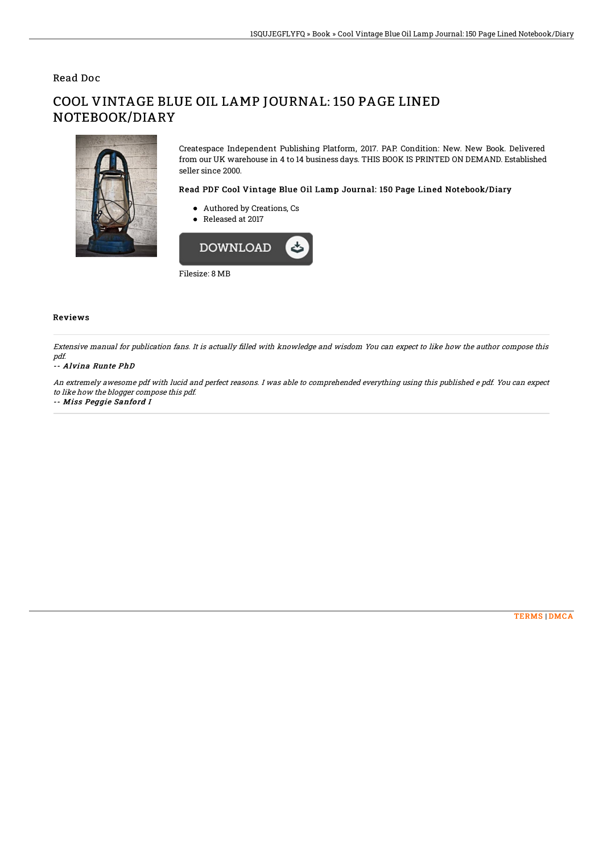## Read Doc

# COOL VINTAGE BLUE OIL LAMP JOURNAL: 150 PAGE LINED NOTEBOOK/DIARY



Createspace Independent Publishing Platform, 2017. PAP. Condition: New. New Book. Delivered from our UK warehouse in 4 to 14 business days. THIS BOOK IS PRINTED ON DEMAND. Established seller since 2000.

#### Read PDF Cool Vintage Blue Oil Lamp Journal: 150 Page Lined Notebook/Diary

- Authored by Creations, Cs
- Released at 2017



### Reviews

Extensive manual for publication fans. It is actually filled with knowledge and wisdom You can expect to like how the author compose this pdf.

#### -- Alvina Runte PhD

An extremely awesome pdf with lucid and perfect reasons. I was able to comprehended everything using this published <sup>e</sup> pdf. You can expect to like how the blogger compose this pdf.

-- Miss Peggie Sanford I